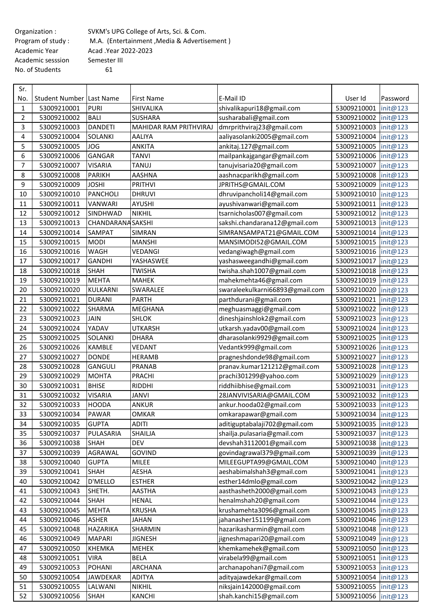Academic sesssion Semester III No. of Students 61

Organization : SVKM's UPG College of Arts, Sci. & Com. Program of study : M.A. (Entertainment, Media & Advertisement) Academic Year Acad .Year 2022-2023

| Sr.            |                          |                          |                        |                                 |                        |          |
|----------------|--------------------------|--------------------------|------------------------|---------------------------------|------------------------|----------|
| No.            | Student Number Last Name |                          | <b>First Name</b>      | E-Mail ID                       | User Id                | Password |
| 1              | 53009210001              | <b>PURI</b>              | SHIVALIKA              | shivalikapuri18@gmail.com       | 53009210001            | init@123 |
| $\overline{2}$ | 53009210002              | <b>BALI</b>              | <b>SUSHARA</b>         | susharabali@gmail.com           | 53009210002            | init@123 |
| 3              | 53009210003              | <b>DANDETI</b>           | MAHIDAR RAM PRITHVIRAJ | dmrprithviraj23@gmail.com       | 53009210003            | init@123 |
| 4              | 53009210004              | <b>SOLANKI</b>           | AALIYA                 | aaliyasolanki2005@gmail.com     | 53009210004            | init@123 |
| 5              | 53009210005              | <b>JOG</b>               | <b>ANKITA</b>          | ankitaj.127@gmail.com           | 53009210005            | init@123 |
| 6              | 53009210006              | GANGAR                   | <b>TANVI</b>           | mailpankajgangar@gmail.com      | 53009210006            | init@123 |
| $\overline{7}$ | 53009210007              | <b>VISARIA</b>           | <b>TANUJ</b>           | tanujvisaria20@gmail.com        | 53009210007            | init@123 |
| 8              | 53009210008              | <b>PARIKH</b>            | AASHNA                 | aashnacparikh@gmail.com         | 53009210008            | init@123 |
| 9              | 53009210009              | <b>JOSHI</b>             | <b>PRITHVI</b>         | JPRITHS@GMAIL.COM               | 53009210009            | init@123 |
| 10             | 53009210010              | <b>PANCHOLI</b>          | <b>DHRUVI</b>          | dhruvipancholi14@gmail.com      | 53009210010            | init@123 |
| 11             | 53009210011              | <b>VANWARI</b>           | <b>AYUSHI</b>          | ayushivanwari@gmail.com         | 53009210011            | init@123 |
| 12             | 53009210012              | SINDHWAD                 | <b>NIKHIL</b>          | tsarnicholas007@gmail.com       | 53009210012            | init@123 |
| 13             | 53009210013              | <b>CHANDARANA SAKSHI</b> |                        | sakshi.chandarana12@gmail.com   | 53009210013            | init@123 |
| 14             | 53009210014              | SAMPAT                   | SIMRAN                 | SIMRANSAMPAT21@GMAIL.COM        | 53009210014            | init@123 |
| 15             | 53009210015              | <b>MODI</b>              | <b>MANSHI</b>          | MANSIMODI52@GMAIL.COM           | 53009210015            | init@123 |
| 16             | 53009210016              | <b>WAGH</b>              | VEDANGI                | vedangiwagh@gmail.com           | 53009210016            | init@123 |
| 17             | 53009210017              | <b>GANDHI</b>            | YASHASWEE              | yashasweegandhi@gmail.com       | 53009210017            | init@123 |
| 18             | 53009210018              | <b>SHAH</b>              | <b>TWISHA</b>          | twisha.shah1007@gmail.com       | 53009210018            | init@123 |
| 19             | 53009210019              | <b>MEHTA</b>             | <b>MAHEK</b>           | mahekmehta46@gmail.com          | 53009210019            | init@123 |
| 20             | 53009210020              | KULKARNI                 | SWARALEE               | swaraleekulkarni66893@gmail.com | 53009210020            | init@123 |
| 21             | 53009210021              | <b>DURANI</b>            | <b>PARTH</b>           | parthdurani@gmail.com           | 53009210021            | init@123 |
| 22             | 53009210022              | <b>SHARMA</b>            | <b>MEGHANA</b>         | meghuasmaggi@gmail.com          | 53009210022            | init@123 |
| 23             | 53009210023              | <b>JAIN</b>              | <b>SHLOK</b>           | dineshjainshlok2@gmail.com      | 53009210023            | init@123 |
| 24             | 53009210024              | YADAV                    | UTKARSH                | utkarsh.yadav00@gmail.com       | 53009210024            | init@123 |
| 25             | 53009210025              | <b>SOLANKI</b>           | <b>DHARA</b>           | dharasolanki9929@gmail.com      | 53009210025            | init@123 |
| 26             | 53009210026              | <b>KAMBLE</b>            | <b>VEDANT</b>          | Vedantk999@gmail.com            | 53009210026            | init@123 |
| 27             | 53009210027              | <b>DONDE</b>             | <b>HERAMB</b>          | pragneshdonde98@gmail.com       | 53009210027            | init@123 |
| 28             | 53009210028              | <b>GANGULI</b>           | <b>PRANAB</b>          | pranav.kumar121212@gmail.com    | 53009210028            | init@123 |
| 29             | 53009210029              | <b>MOHTA</b>             | PRACHI                 | prachi301299@yahoo.com          | 53009210029            | init@123 |
| 30             | 53009210031              | <b>BHISE</b>             | <b>RIDDHI</b>          | riddhiibhise@gmail.com          | 53009210031            | init@123 |
| 31             | 53009210032              | <b>VISARIA</b>           | <b>JANVI</b>           | 28JANVIVISARIA@GMAIL.COM        | 53009210032            | init@123 |
| 32             | 53009210033              | <b>HOODA</b>             | <b>ANKUR</b>           | ankur.hooda02@gmail.com         | 53009210033 init@123   |          |
| 33             | 53009210034              | <b>PAWAR</b>             | <b>OMKAR</b>           | omkarapawar@gmail.com           | 53009210034   init@123 |          |
| 34             | 53009210035              | <b>GUPTA</b>             | <b>ADITI</b>           | aditiguptabalaji702@gmail.com   | 53009210035 init@123   |          |
| 35             | 53009210037              | PULASARIA                | SHAILJA                | shailja.pulasaria@gmail.com     | 53009210037            | init@123 |
| 36             | 53009210038              | <b>SHAH</b>              | <b>DEV</b>             | devshah3112001@gmail.com        | 53009210038            | init@123 |
| 37             | 53009210039              | AGRAWAL                  | GOVIND                 | govindagrawal379@gmail.com      | 53009210039            | init@123 |
| 38             | 53009210040              | <b>GUPTA</b>             | <b>MILEE</b>           | MILEEGUPTA99@GMAIL.COM          | 53009210040            | init@123 |
| 39             | 53009210041              | <b>SHAH</b>              | <b>AESHA</b>           | aeshabimalshah3@gmail.com       | 53009210041            | init@123 |
| 40             | 53009210042              | <b>D'MELLO</b>           | <b>ESTHER</b>          | esther14dmlo@gmail.com          | 53009210042            | init@123 |
| 41             | 53009210043              | SHETH.                   | AASTHA                 | aasthasheth2000@gmail.com       | 53009210043            | init@123 |
| 42             | 53009210044              | <b>SHAH</b>              | <b>HENAL</b>           | henalmshah20@gmail.com          | 53009210044            | init@123 |
| 43             | 53009210045              | <b>MEHTA</b>             | <b>KRUSHA</b>          | krushamehta3096@gmail.com       | 53009210045            | init@123 |
| 44             | 53009210046              | <b>ASHER</b>             | <b>JAHAN</b>           | jahanasher151199@gmail.com      | 53009210046            | init@123 |
| 45             | 53009210048              | HAZARIKA                 | SHARMIN                | hazarikasharmin@gmail.com       | 53009210048            | init@123 |
| 46             | 53009210049              | <b>MAPARI</b>            | <b>JIGNESH</b>         | jigneshmapari20@gmail.com       | 53009210049            | init@123 |
| 47             | 53009210050              | <b>KHEMKA</b>            | <b>MEHEK</b>           | khemkamehek@gmail.com           | 53009210050            | init@123 |
| 48             | 53009210051              | <b>VIRA</b>              | <b>BELA</b>            | virabela99@gmail.com            | 53009210051            | init@123 |
| 49             | 53009210053              | <b>POHANI</b>            | ARCHANA                | archanapohani7@gmail.com        | 53009210053            | init@123 |
| 50             | 53009210054              | <b>JAWDEKAR</b>          | <b>ADITYA</b>          | adityajawdekar@gmail.com        | 53009210054            | init@123 |
| 51             | 53009210055              | LALWANI                  | NIKHIL                 | niksjain142000@gmail.com        | 53009210055            | init@123 |
| 52             | 53009210056              | <b>SHAH</b>              | KANCHI                 | shah.kanchi15@gmail.com         | 53009210056            | init@123 |
|                |                          |                          |                        |                                 |                        |          |